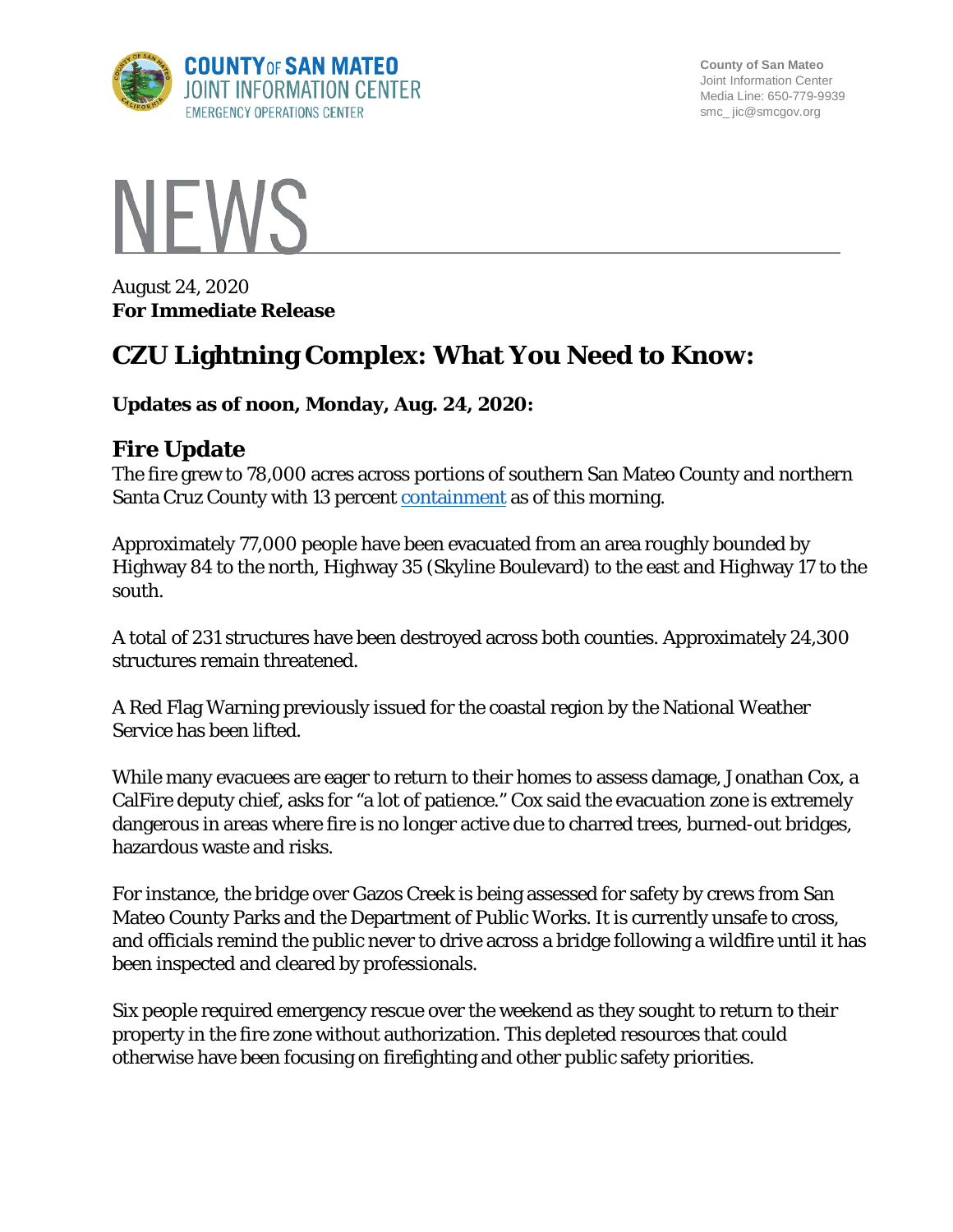

**County of San Mateo** Joint Information Center Media Line: 650-779-9939 smc\_ jic@smcgov.org



August 24, 2020 **For Immediate Release**

# **CZU Lightning Complex: What You Need to Know:**

#### **Updates as of noon, Monday, Aug. 24, 2020:**

#### **Fire Update**

The fire grew to 78,000 acres across portions of southern San Mateo County and northern Santa Cruz County with 13 percent [containment](https://www.fire.ca.gov/media/4938/fireterminology.pdf) as of this morning.

Approximately 77,000 people have been evacuated from an area roughly bounded by Highway 84 to the north, Highway 35 (Skyline Boulevard) to the east and Highway 17 to the south.

A total of 231 structures have been destroyed across both counties. Approximately 24,300 structures remain threatened.

A Red Flag Warning previously issued for the coastal region by the National Weather Service has been lifted.

While many evacuees are eager to return to their homes to assess damage, Jonathan Cox, a CalFire deputy chief, asks for "a lot of patience." Cox said the evacuation zone is extremely dangerous in areas where fire is no longer active due to charred trees, burned-out bridges, hazardous waste and risks.

For instance, the bridge over Gazos Creek is being assessed for safety by crews from San Mateo County Parks and the Department of Public Works. It is currently unsafe to cross, and officials remind the public never to drive across a bridge following a wildfire until it has been inspected and cleared by professionals.

Six people required emergency rescue over the weekend as they sought to return to their property in the fire zone without authorization. This depleted resources that could otherwise have been focusing on firefighting and other public safety priorities.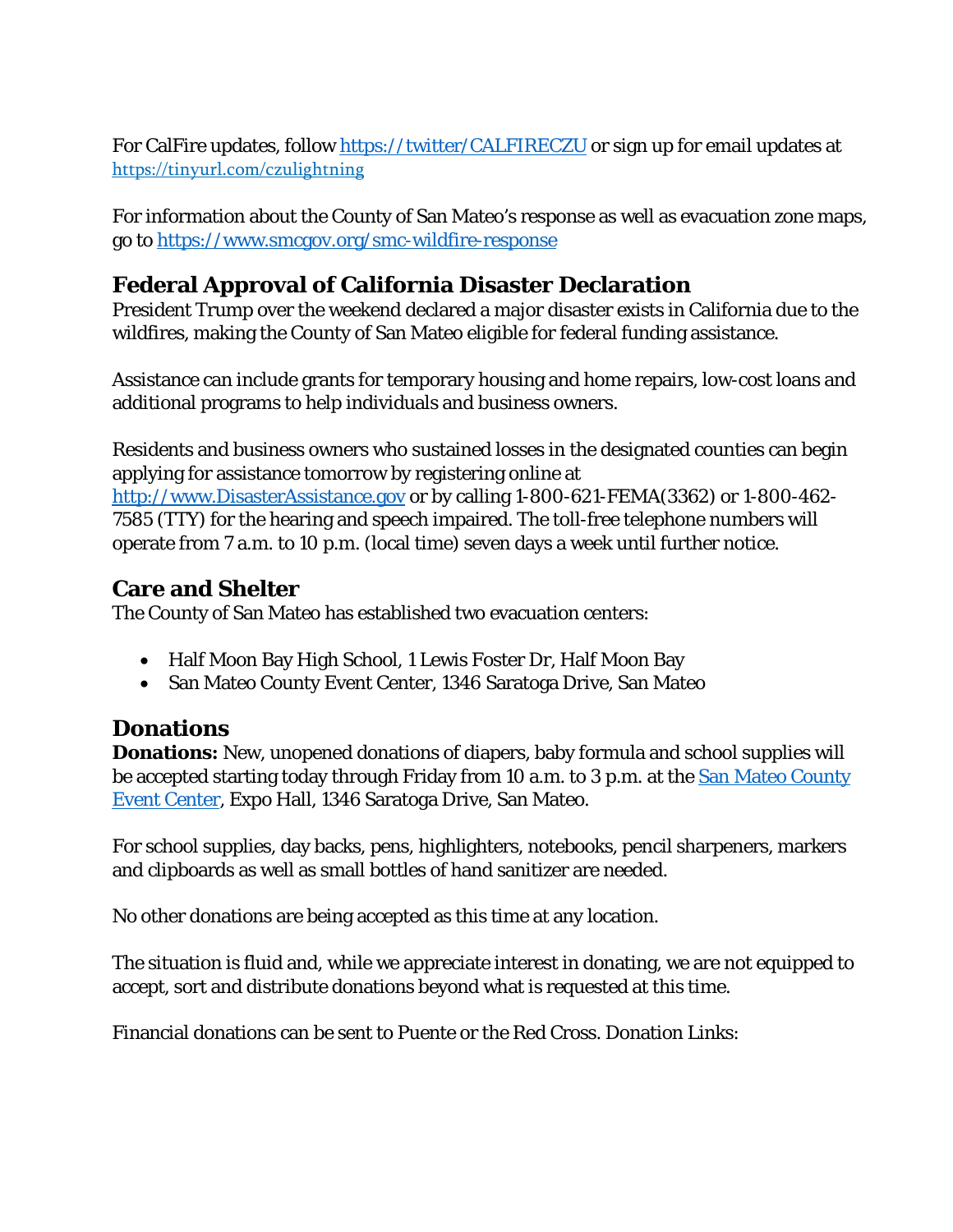For CalFire updates, follow<https://twitter/CALFIRECZU> or sign up for email updates at <https://tinyurl.com/czulightning>

For information about the County of San Mateo's response as well as evacuation zone maps, go to<https://www.smcgov.org/smc-wildfire-response>

# **Federal Approval of California Disaster Declaration**

President Trump over the weekend declared a major disaster exists in California due to the wildfires, making the County of San Mateo eligible for federal funding assistance.

Assistance can include grants for temporary housing and home repairs, low-cost loans and additional programs to help individuals and business owners.

Residents and business owners who sustained losses in the designated counties can begin applying for assistance tomorrow by registering online at [http://www.DisasterAssistance.gov](http://www.disasterassistance.gov/) or by calling 1-800-621-FEMA(3362) or 1-800-462- 7585 (TTY) for the hearing and speech impaired. The toll-free telephone numbers will operate from 7 a.m. to 10 p.m. (local time) seven days a week until further notice.

### **Care and Shelter**

The County of San Mateo has established two evacuation centers:

- Half Moon Bay High School, 1 Lewis Foster Dr, Half Moon Bay
- San Mateo County Event Center, 1346 Saratoga Drive, San Mateo

# **Donations**

**Donations:** New, unopened donations of diapers, baby formula and school supplies will be accepted starting today through Friday from 10 a.m. to 3 p.m. at the [San Mateo County](https://www.smcec.co/) [Event Center,](https://www.smcec.co/) Expo Hall, 1346 Saratoga Drive, San Mateo.

For school supplies, day backs, pens, highlighters, notebooks, pencil sharpeners, markers and clipboards as well as small bottles of hand sanitizer are needed.

No other donations are being accepted as this time at any location.

The situation is fluid and, while we appreciate interest in donating, we are not equipped to accept, sort and distribute donations beyond what is requested at this time.

Financial donations can be sent to Puente or the Red Cross. Donation Links: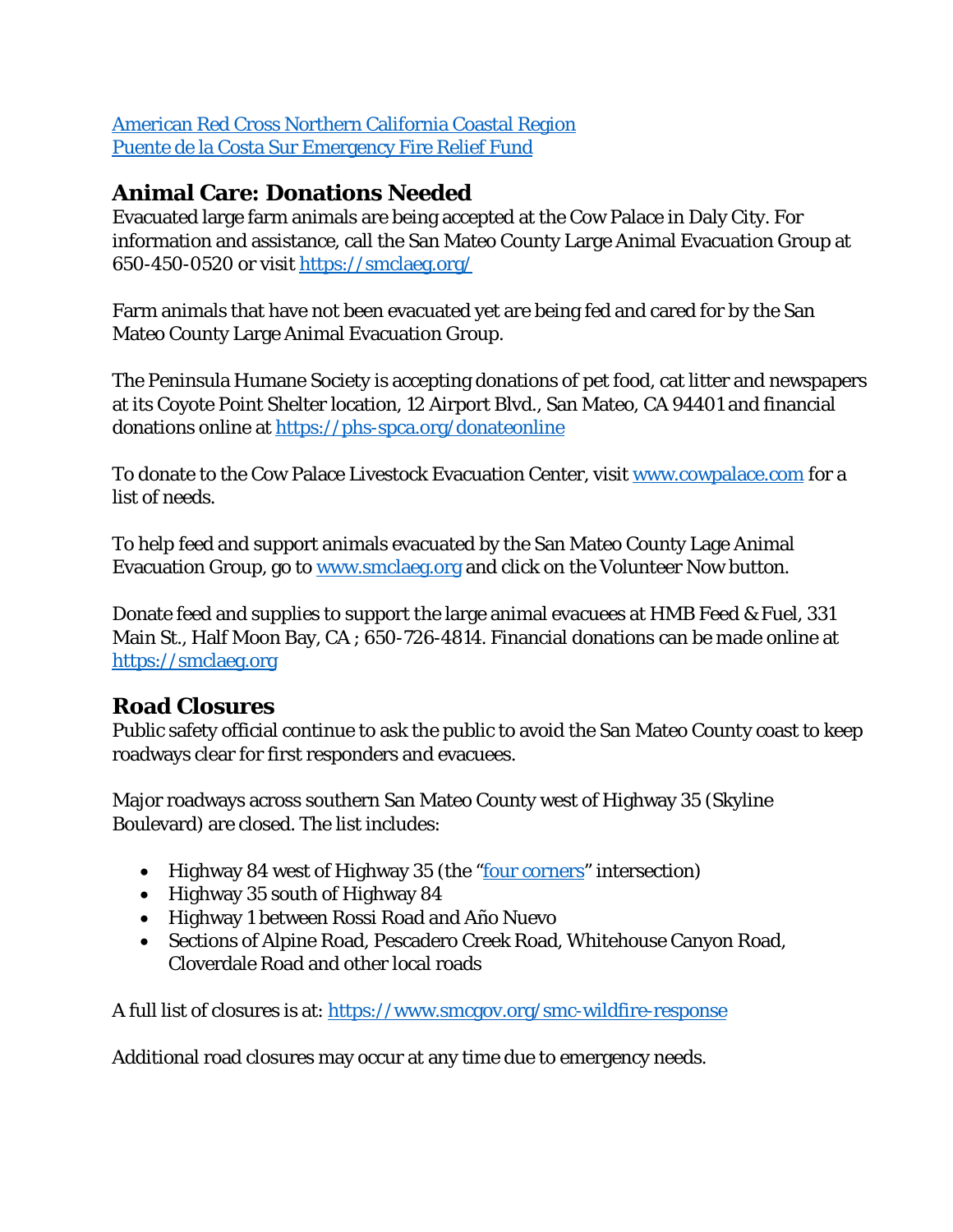[American Red Cross Northern California Coastal Region](https://www.redcross.org/local/california/northern-california-coastal.html) [Puente de la Costa Sur Emergency Fire Relief Fund](https://mailchi.mp/mypuente.org/fire-relief-200819?fbclid=IwAR2ZwI_3POQpielrGiMjPIeYZdqjlJEs-Z0WAk4rZH7NH1JB9XCzYWIWU4g)

# **Animal Care: Donations Needed**

Evacuated large farm animals are being accepted at the Cow Palace in Daly City. For information and assistance, call the San Mateo County Large Animal Evacuation Group at 650-450-0520 or visit<https://smclaeg.org/>

Farm animals that have not been evacuated yet are being fed and cared for by the San Mateo County Large Animal Evacuation Group.

The Peninsula Humane Society is accepting donations of pet food, cat litter and newspapers at its Coyote Point Shelter location, 12 Airport Blvd., San Mateo, CA 94401 and financial donations online at<https://phs-spca.org/donateonline>

To donate to the Cow Palace Livestock Evacuation Center, visit [www.cowpalace.com](http://www.cowpalace.com/) for a list of needs.

To help feed and support animals evacuated by the San Mateo County Lage Animal Evacuation Group, go to [www.smclaeg.org](http://www.smclaeg.org/) and click on the Volunteer Now button.

Donate feed and supplies to support the large animal evacuees at HMB Feed & Fuel, 331 Main St., Half Moon Bay, CA ; 650-726-4814. Financial donations can be made online at [https://smclaeg.org](https://smclaeg.org/)

# **Road Closures**

Public safety official continue to ask the public to avoid the San Mateo County coast to keep roadways clear for first responders and evacuees.

Major roadways across southern San Mateo County west of Highway 35 (Skyline Boulevard) are closed. The list includes:

- Highway 84 west of Highway 35 (the ["four corners"](https://goo.gl/maps/u7sqicXnAT8w2BWj8) intersection)
- Highway 35 south of Highway 84
- Highway 1 between Rossi Road and Año Nuevo
- Sections of Alpine Road, Pescadero Creek Road, Whitehouse Canyon Road, Cloverdale Road and other local roads

A full list of closures is at:<https://www.smcgov.org/smc-wildfire-response>

Additional road closures may occur at any time due to emergency needs.